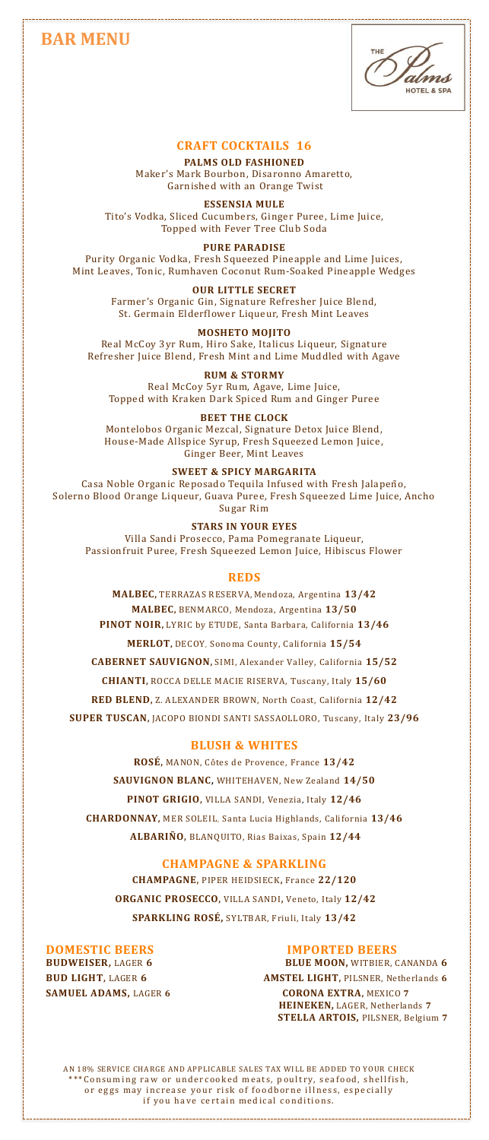# **BAR MENU**



# **CRAFT COCKTAILS 16**

**PALMS OLD FASHIONED**  Maker's Mark Bourbon, Disaronno Amaretto, Garnished with an Orange Twist

**ESSENSIA MULE** 

Tito's Vodka, Sliced Cucumbers, Ginger Puree, Lime Juice, Topped with Fever Tree Club Soda

#### **PURE PARADISE**

Purity Organic Vodka, Fresh Squeezed Pineapple and Lime Juices, Mint Leaves, Tonic, Rumhaven Coconut Rum-Soaked Pineapple Wedges

#### **OUR LITTLE SECRET**

Farmer's Organic Gin, Signature Refresher Juice Blend, St. Germain Elderflower Liqueur, Fresh Mint Leaves

# **MOSHETO MOJITO**

Real McCoy 3yr Rum, Hiro Sake, Italicus Liqueur, Signature Refresher Juice Blend, Fresh Mint and Lime Muddled with Agave

# **RUM & STORMY**

Real McCoy 5yr Rum, Agave, Lime Juice, Topped with Kraken Dark Spiced Rum and Ginger Puree

# **BEET THE CLOCK**

Montelobos Organic Mezcal, Signature Detox Juice Blend, House-Made Allspice Syrup, Fresh Squeezed Lemon Juice, Ginger Beer, Mint Leaves

# **SWEET & SPICY MARGARITA**

Casa Noble Organic Reposado Tequila Infused with Fresh Jalapeño, Solerno Blood Orange Liqueur, Guava Puree, Fresh Squeezed Lime Juice, Ancho Sugar Rim

**STARS IN YOUR EYES**  Villa Sandi Prosecco, Pama Pomegranate Liqueur, Passionfruit Puree, Fresh Squeezed Lemon Juice, Hibiscus Flower

#### **REDS**

**MALBEC,** TERRAZAS RESERVA, Mendoza, Argentina **13/42 MALBEC,** BENMARCO, Mendoza, Argentina **13/50 PINOT NOIR,** LYRIC by ETUDE, Santa Barbara, California **13/46**

**MERLOT,** DECOY, Sonoma County, California **15/54**

**CABERNET SAUVIGNON,** SIMI, Alexander Valley, California **15/52 CHIANTI,** ROCCA DELLE MACIE RISERVA, Tuscany, Italy **15/60 RED BLEND,** Z. ALEXANDER BROWN, North Coast, California **12/42 SUPER TUSCAN,** JACOPO BIONDI SANTI SASSAOLLORO, Tuscany, Italy **23/96**

## **BLUSH & WHITES**

**ROSÉ,** MANON, Côtes de Provence, France **13/42 SAUVIGNON BLANC,** WHITEHAVEN, New Zealand **14/50 PINOT GRIGIO,** VILLA SANDI, Venezia, Italy **12/46 CHARDONNAY,** MER SOLEIL, Santa Lucia Highlands, California **13/46 ALBARIÑO,** BLANQUITO, Rias Baixas, Spain **12/44**

# **CHAMPAGNE & SPARKLING**

**CHAMPAGNE,** PIPER HEIDSIECK**,** France **22/120 ORGANIC PROSECCO,** VILLA SANDI**,** Veneto, Italy **12/42 SPARKLING ROSÉ,** SYLTBAR, Friuli, Italy **13/42**

**DOMESTIC BEERS**<br>**BUDWEISER.** LAGER 6 **BLUE MOON.** WITBIER.

**BLUE MOON, WITBIER, CANANDA 6 BUD LIGHT,** LAGER **6 AMSTEL LIGHT,** PILSNER, Netherlands **6 SAMUEL ADAMS,** LAGER **6 CORONA EXTRA,** MEXICO **7 HEINEKEN,** LAGER, Netherlands **7 STELLA ARTOIS,** PILSNER, Belgium **7**

AN 18% SERVICE CHARGE AND APPLICABLE SALES TAX WILL BE ADDED TO YOUR CHECK \*Consuming raw or undercooked meats, poultry, seafood, shellfish, or eggs may increase your risk of foodborne illness, especially if you have certain medical conditions.